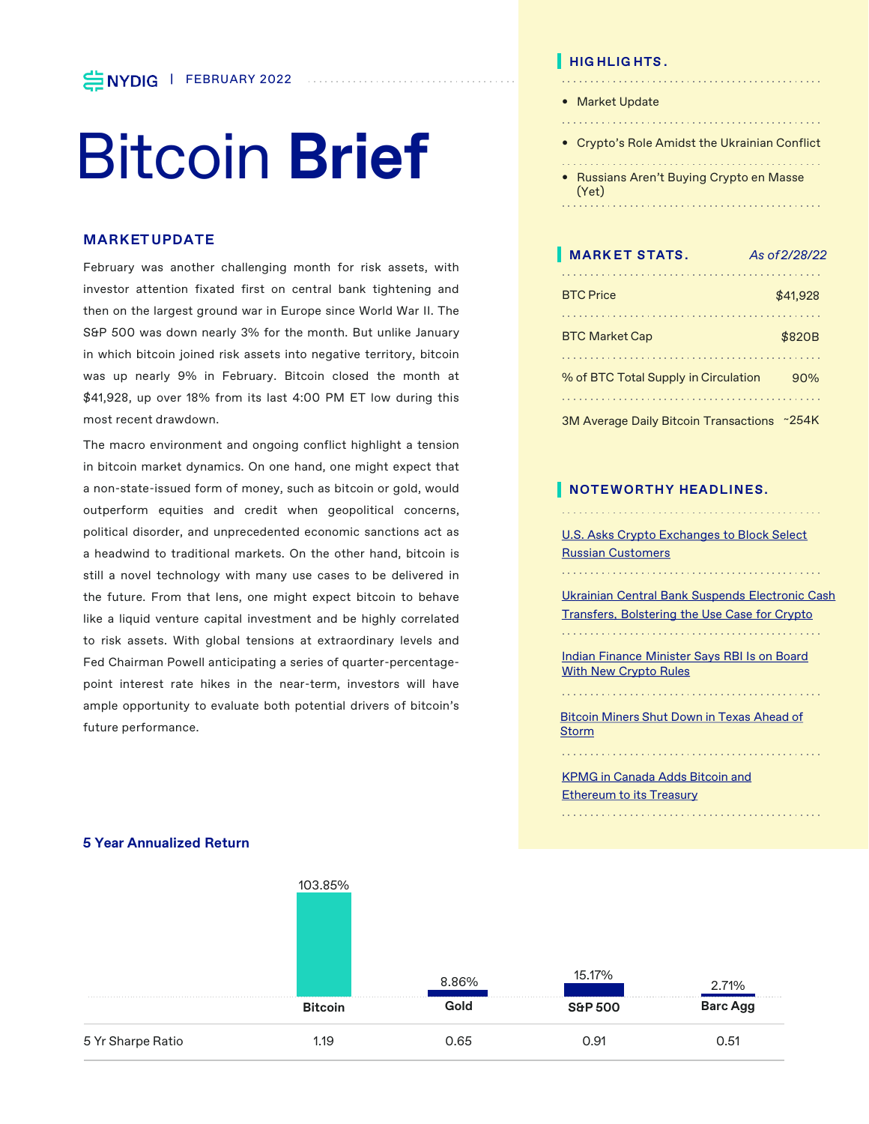# Bitcoin **Brief**

# **MARKET UPDATE**

February was another challenging month for risk assets, with investor attention fixated first on central bank tightening and then on the largest ground war in Europe since World War II. The S&P 500 was down nearly 3% for the month. But unlike January in which bitcoin joined risk assets into negative territory, bitcoin was up nearly 9% in February. Bitcoin closed the month at \$41,928, up over 18% from its last 4:00 PM ET low during this most recent drawdown.

The macro environment and ongoing conflict highlight a tension in bitcoin market dynamics. On one hand, one might expect that a non-state-issued form of money, such as bitcoin or gold, would outperform equities and credit when geopolitical concerns, political disorder, and unprecedented economic sanctions act as a headwind to traditional markets. On the other hand, bitcoin is still a novel technology with many use cases to be delivered in the future. From that lens, one might expect bitcoin to behave like a liquid venture capital investment and be highly correlated to risk assets. With global tensions at extraordinary levels and Fed Chairman Powell anticipating a series of quarter-percentagepoint interest rate hikes in the near-term, investors will have ample opportunity to evaluate both potential drivers of bitcoin's future performance.

# **HIG HLIG HTS .**

- Market Update
- 

- Crypto's Role Amidst the Ukrainian Conflict
- Russians Aren't Buying Crypto en Masse (Yet)

| <b>MARKET STATS.</b>                         | As of 2/28/22 |
|----------------------------------------------|---------------|
| <b>BTC</b> Price                             | \$41,928      |
|                                              |               |
| <b>BTC Market Cap</b>                        | \$820B        |
|                                              |               |
| % of BTC Total Supply in Circulation         | 90%           |
|                                              |               |
| <b>3M Average Daily Bitcoin Transactions</b> | ~254K         |

# **NOTEWORTHY HEADLINES.**

[U.S. Asks Crypto Exchanges to Block Select](https://www.bloomberg.com/news/articles/2022-02-28/u-s-prods-crypto-exchanges-to-thwart-russia-sanctions-dodgers?srnd=cryptocurrencies-v2)  Russian Customers

[Ukrainian Central Bank Suspends Electronic Cash](https://www.cnbc.com/2022/02/24/ukranian-bank-suspends-e-cash-transfers-bolstering-crypto-use-case.html)  Transfers, Bolstering the Use Case for Crypto

[Indian Finance Minister Says RBI Is on Board](https://www.coindesk.com/policy/2022/02/14/indian-finance-minister-says-rbi-on-board-with-new-crypto-rules/?utm_medium=email&_hsmi=204376241&_hsenc=p2ANqtz--SPwKRL_xWhzpB6v3j9wqzM-7HTF0ZnZQ_8BzTVAnmb9NUBFjTSUWrdKKhnaJpb-HskRTYrpbKyQuk0Fw6I10-GB-SQA&utm_content=204376241&utm_source=hs_email)  With New Crypto Rules

[Bitcoin Miners Shut Down in Texas Ahead of](https://www.cnbc.com/2022/02/03/winter-storm-descends-on-texas-bitcoin-miners-shut-off-to-protect-ercot.html?utm_medium=email&_hsmi=202957791&_hsenc=p2ANqtz--6Kk0aD7kd-ZX1EGo3v6XqmF_9Hkj-iq_3HqEU9_bTgSJqyfmoa9_TZ76HvCQ3b5T3cN60FjaWJGL0AXFk6Zz84QX_gw&utm_content=202957791&utm_source=hs_email) **Storm** 

[KPMG in Canada Adds Bitcoin and](https://www.bloomberg.com/news/articles/2022-02-07/kpmg-canada-adds-bitcoin-ethereum-to-corporate-balance-sheet#:~:text=KPMG%20in%20Canada%20said%20it,firms%20to%20invest%20in%20cryptocurrencies.)  **Ethereum to its Treasury** 



#### **5 Year Annualized Return**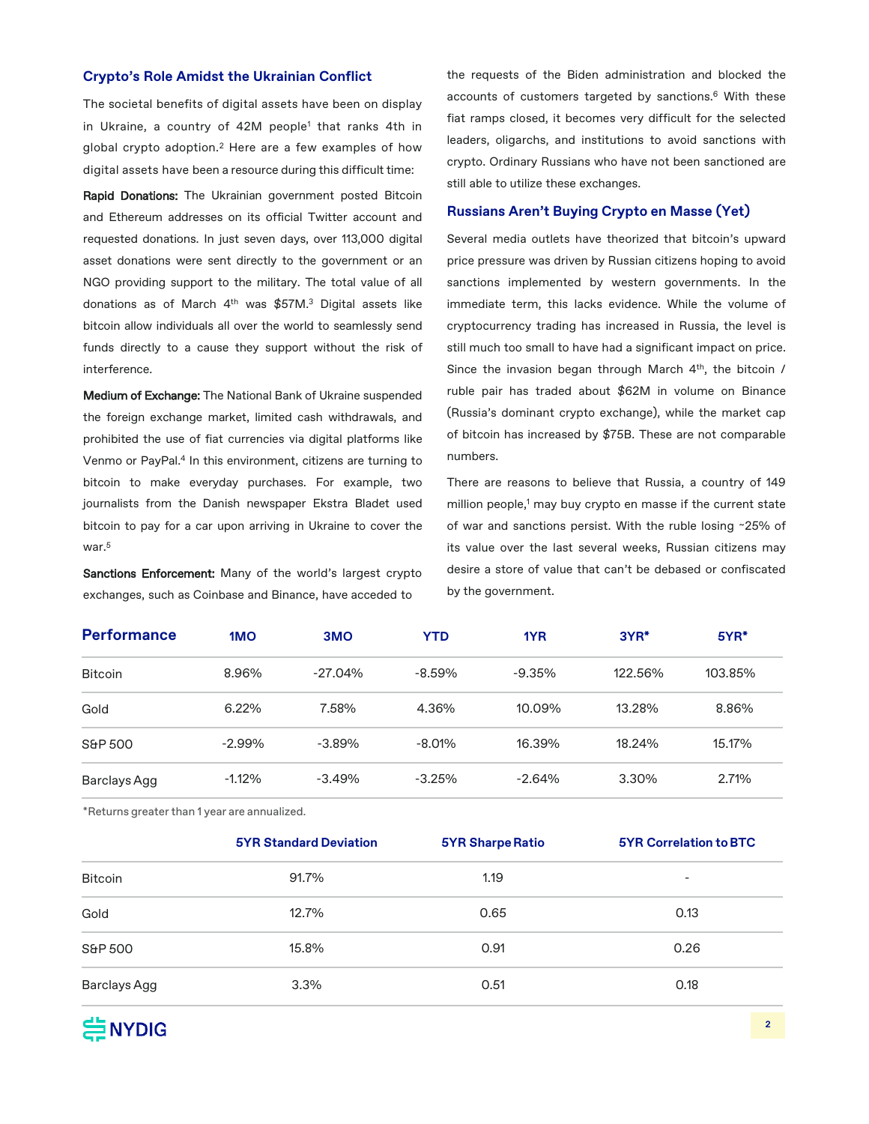## **Crypto's Role Amidst the Ukrainian Conflict**

The societal benefits of digital assets have been on display in Ukraine, a country of 42M people<sup>1</sup> that ranks 4th in global crypto adoption. <sup>2</sup> Here are a few examples of how digital assets have been a resource during this difficult time:

Rapid Donations: The Ukrainian government posted Bitcoin and Ethereum addresses on its official Twitter account and requested donations. In just seven days, over 113,000 digital asset donations were sent directly to the government or an NGO providing support to the military. The total value of all donations as of March 4th was \$57M. <sup>3</sup> Digital assets like bitcoin allow individuals all over the world to seamlessly send funds directly to a cause they support without the risk of interference.

Medium of Exchange: The National Bank of Ukraine suspended the foreign exchange market, limited cash withdrawals, and prohibited the use of fiat currencies via digital platforms like Venmo or PayPal. <sup>4</sup> In this environment, citizens are turning to bitcoin to make everyday purchases. For example, two journalists from the Danish newspaper Ekstra Bladet used bitcoin to pay for a car upon arriving in Ukraine to cover the war. 5

Sanctions Enforcement: Many of the world's largest crypto exchanges, such as Coinbase and Binance, have acceded to

the requests of the Biden administration and blocked the accounts of customers targeted by sanctions. <sup>6</sup> With these fiat ramps closed, it becomes very difficult for the selected leaders, oligarchs, and institutions to avoid sanctions with crypto. Ordinary Russians who have not been sanctioned are still able to utilize these exchanges.

## **Russians Aren't Buying Crypto en Masse (Yet)**

Several media outlets have theorized that bitcoin's upward price pressure was driven by Russian citizens hoping to avoid sanctions implemented by western governments. In the immediate term, this lacks evidence. While the volume of cryptocurrency trading has increased in Russia, the level is still much too small to have had a significant impact on price. Since the invasion began through March 4<sup>th</sup>, the bitcoin / ruble pair has traded about \$62M in volume on Binance (Russia's dominant crypto exchange), while the market cap of bitcoin has increased by \$75B. These are not comparable numbers.

There are reasons to believe that Russia, a country of 149 million people,<sup>1</sup> may buy crypto en masse if the current state of war and sanctions persist. With the ruble losing ~25% of its value over the last several weeks, Russian citizens may desire a store of value that can't be debased or confiscated by the government.

| <b>Performance</b> | 1 <sub>MO</sub> | 3 <sub>MO</sub> | YTD       | 1YR      | $3YR^*$ | $5YR*$  |
|--------------------|-----------------|-----------------|-----------|----------|---------|---------|
| <b>Bitcoin</b>     | 8.96%           | $-27.04\%$      | $-8.59%$  | $-9.35%$ | 122.56% | 103.85% |
| Gold               | 6.22%           | 7.58%           | 4.36%     | 10.09%   | 13.28%  | 8.86%   |
| S&P 500            | $-2.99%$        | $-3.89%$        | $-8.01\%$ | 16.39%   | 18.24%  | 15.17%  |
| Barclays Agg       | $-1.12\%$       | $-3.49%$        | $-3.25%$  | $-2.64%$ | 3.30%   | 2.71%   |

\*Returns greater than 1 year are annualized.

|                | <b>5YR Standard Deviation</b> | <b>5YR Sharpe Ratio</b> | <b>5YR Correlation to BTC</b> |
|----------------|-------------------------------|-------------------------|-------------------------------|
| <b>Bitcoin</b> | 91.7%                         | 1.19                    | $\overline{\phantom{a}}$      |
| Gold           | 12.7%                         | 0.65                    | 0.13                          |
| S&P 500        | 15.8%                         | 0.91                    | 0.26                          |
| Barclays Agg   | 3.3%                          | 0.51                    | 0.18                          |